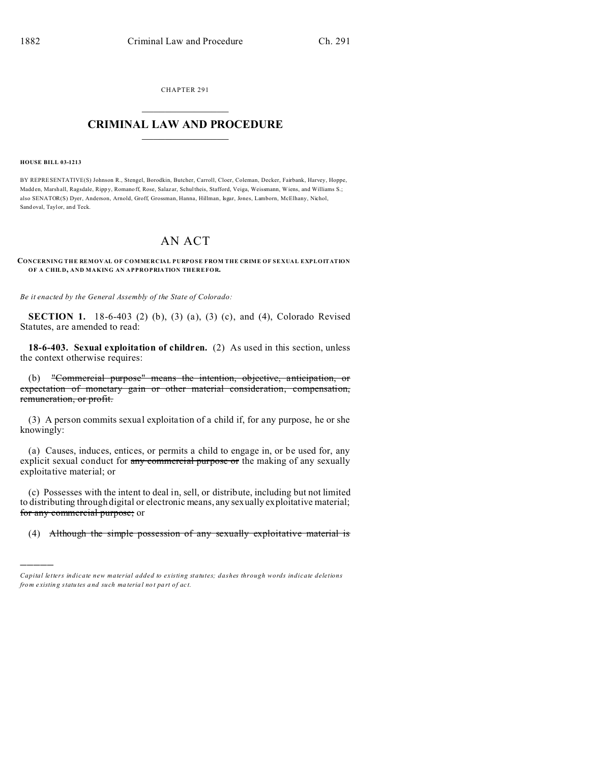CHAPTER 291  $\overline{\phantom{a}}$  , where  $\overline{\phantom{a}}$ 

## **CRIMINAL LAW AND PROCEDURE**  $\_$   $\_$   $\_$   $\_$   $\_$   $\_$   $\_$   $\_$   $\_$

**HOUSE BILL 03-1213**

)))))

BY REPRESENTATIVE(S) Johnson R., Stengel, Borodkin, Butcher, Carroll, Cloer, Coleman, Decker, Fairbank, Harvey, Hoppe, Madd en, Marshall, Ragsdale, Ripp y, Romano ff, Rose, Salaz ar, Schultheis, Stafford, Veiga, Weissmann, Wiens, and Williams S.; also SENATOR(S) Dyer, Anderson, Arnold, Groff, Grossman, Hanna, Hillman, Isgar, Jones, Lamborn, McElhany, Nichol, Sand oval, Taylor, an d Teck.

## AN ACT

## **CONCERNING THE REMOVAL OF COMMERCIAL PURPOSE FROM THE CRIME OF SEXUAL EXPLOITATION OF A CHILD, AND MAKING AN APPROPRIATION THEREFOR.**

*Be it enacted by the General Assembly of the State of Colorado:*

**SECTION 1.** 18-6-403 (2) (b), (3) (a), (3) (c), and (4), Colorado Revised Statutes, are amended to read:

**18-6-403. Sexual exploitation of children.** (2) As used in this section, unless the context otherwise requires:

(b) "Commercial purpose" means the intention, objective, anticipation, or expectation of monetary gain or other material consideration, compensation, remuneration, or profit.

(3) A person commits sexual exploitation of a child if, for any purpose, he or she knowingly:

(a) Causes, induces, entices, or permits a child to engage in, or be used for, any explicit sexual conduct for any commercial purpose or the making of any sexually exploitative material; or

(c) Possesses with the intent to deal in, sell, or distribute, including but not limited to distributing through digital or electronic means, any sexually exploitative material; for any commercial purpose; or

(4) Although the simple possession of any sexually exploitative material is

*Capital letters indicate new material added to existing statutes; dashes through words indicate deletions from e xistin g statu tes a nd such ma teria l no t pa rt of ac t.*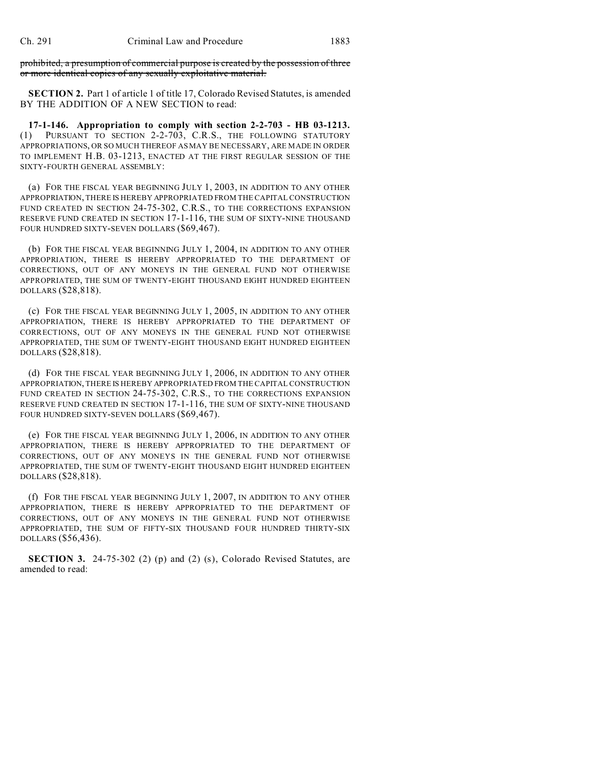prohibited, a presumption of commercial purpose is created by the possession of three or more identical copies of any sexually exploitative material.

**SECTION 2.** Part 1 of article 1 of title 17, Colorado Revised Statutes, is amended BY THE ADDITION OF A NEW SECTION to read:

**17-1-146. Appropriation to comply with section 2-2-703 - HB 03-1213.** (1) PURSUANT TO SECTION 2-2-703, C.R.S., THE FOLLOWING STATUTORY APPROPRIATIONS, OR SO MUCH THEREOF AS MAY BE NECESSARY, ARE MADE IN ORDER TO IMPLEMENT H.B. 03-1213, ENACTED AT THE FIRST REGULAR SESSION OF THE SIXTY-FOURTH GENERAL ASSEMBLY:

(a) FOR THE FISCAL YEAR BEGINNING JULY 1, 2003, IN ADDITION TO ANY OTHER APPROPRIATION, THERE IS HEREBY APPROPRIATED FROM THE CAPITAL CONSTRUCTION FUND CREATED IN SECTION 24-75-302, C.R.S., TO THE CORRECTIONS EXPANSION RESERVE FUND CREATED IN SECTION 17-1-116, THE SUM OF SIXTY-NINE THOUSAND FOUR HUNDRED SIXTY-SEVEN DOLLARS (\$69,467).

(b) FOR THE FISCAL YEAR BEGINNING JULY 1, 2004, IN ADDITION TO ANY OTHER APPROPRIATION, THERE IS HEREBY APPROPRIATED TO THE DEPARTMENT OF CORRECTIONS, OUT OF ANY MONEYS IN THE GENERAL FUND NOT OTHERWISE APPROPRIATED, THE SUM OF TWENTY-EIGHT THOUSAND EIGHT HUNDRED EIGHTEEN DOLLARS (\$28,818).

(c) FOR THE FISCAL YEAR BEGINNING JULY 1, 2005, IN ADDITION TO ANY OTHER APPROPRIATION, THERE IS HEREBY APPROPRIATED TO THE DEPARTMENT OF CORRECTIONS, OUT OF ANY MONEYS IN THE GENERAL FUND NOT OTHERWISE APPROPRIATED, THE SUM OF TWENTY-EIGHT THOUSAND EIGHT HUNDRED EIGHTEEN DOLLARS (\$28,818).

(d) FOR THE FISCAL YEAR BEGINNING JULY 1, 2006, IN ADDITION TO ANY OTHER APPROPRIATION, THERE IS HEREBY APPROPRIATED FROM THE CAPITAL CONSTRUCTION FUND CREATED IN SECTION 24-75-302, C.R.S., TO THE CORRECTIONS EXPANSION RESERVE FUND CREATED IN SECTION 17-1-116, THE SUM OF SIXTY-NINE THOUSAND FOUR HUNDRED SIXTY-SEVEN DOLLARS (\$69,467).

(e) FOR THE FISCAL YEAR BEGINNING JULY 1, 2006, IN ADDITION TO ANY OTHER APPROPRIATION, THERE IS HEREBY APPROPRIATED TO THE DEPARTMENT OF CORRECTIONS, OUT OF ANY MONEYS IN THE GENERAL FUND NOT OTHERWISE APPROPRIATED, THE SUM OF TWENTY-EIGHT THOUSAND EIGHT HUNDRED EIGHTEEN DOLLARS (\$28,818).

(f) FOR THE FISCAL YEAR BEGINNING JULY 1, 2007, IN ADDITION TO ANY OTHER APPROPRIATION, THERE IS HEREBY APPROPRIATED TO THE DEPARTMENT OF CORRECTIONS, OUT OF ANY MONEYS IN THE GENERAL FUND NOT OTHERWISE APPROPRIATED, THE SUM OF FIFTY-SIX THOUSAND FOUR HUNDRED THIRTY-SIX DOLLARS (\$56,436).

**SECTION 3.** 24-75-302 (2) (p) and (2) (s), Colorado Revised Statutes, are amended to read: